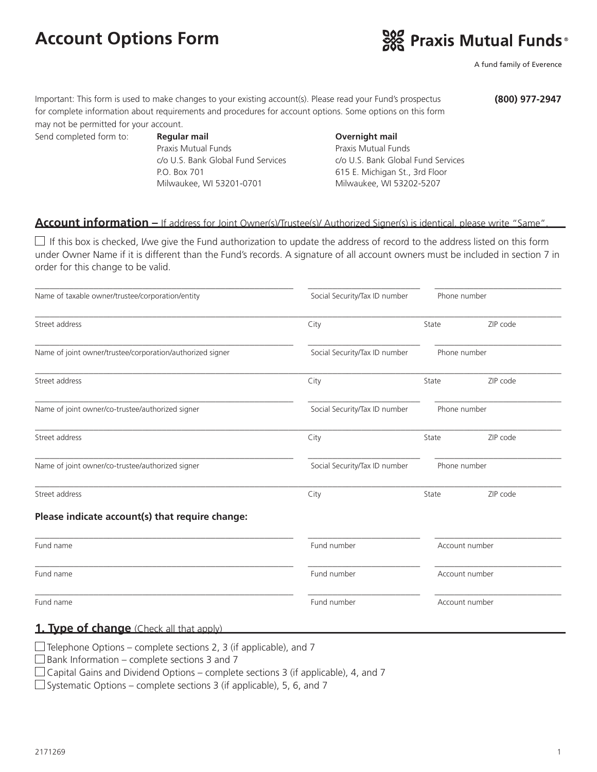# **Account Options Form**



A fund family of Everence

Important: This form is used to make changes to your existing account(s). Please read your Fund's prospectus for complete information about requirements and procedures for account options. Some options on this form may not be permitted for your account.

**(800) 977-2947**

Send completed form to: **Regular mail Completed form to: Regular mail Completed form to: Regular mail** Praxis Mutual Funds c/o U.S. Bank Global Fund Services P.O. Box 701 Milwaukee, WI 53201-0701

Praxis Mutual Funds c/o U.S. Bank Global Fund Services 615 E. Michigan St., 3rd Floor Milwaukee, WI 53202-5207

#### **Account information –** If address for Joint Owner(s)/Trustee(s)/ Authorized Signer(s) is identical, please write "Same".

 $\Box$  If this box is checked, I/we give the Fund authorization to update the address of record to the address listed on this form under Owner Name if it is different than the Fund's records. A signature of all account owners must be included in section 7 in order for this change to be valid.

| Name of taxable owner/trustee/corporation/entity          | Social Security/Tax ID number | Phone number   |          |
|-----------------------------------------------------------|-------------------------------|----------------|----------|
| Street address                                            | City                          | State          | ZIP code |
| Name of joint owner/trustee/corporation/authorized signer | Social Security/Tax ID number | Phone number   |          |
| Street address                                            | City                          | State          | ZIP code |
| Name of joint owner/co-trustee/authorized signer          | Social Security/Tax ID number | Phone number   |          |
| Street address                                            | City                          | State          | ZIP code |
| Name of joint owner/co-trustee/authorized signer          | Social Security/Tax ID number | Phone number   |          |
| Street address                                            | City                          | State          | ZIP code |
| Please indicate account(s) that require change:           |                               |                |          |
| Fund name                                                 | Fund number                   | Account number |          |
| Fund name                                                 | Fund number                   | Account number |          |
| Fund name                                                 | Fund number                   | Account number |          |

 $\square$  Bank Information – complete sections 3 and 7

 $\Box$  Capital Gains and Dividend Options – complete sections 3 (if applicable), 4, and 7

 $\Box$  Systematic Options – complete sections 3 (if applicable), 5, 6, and 7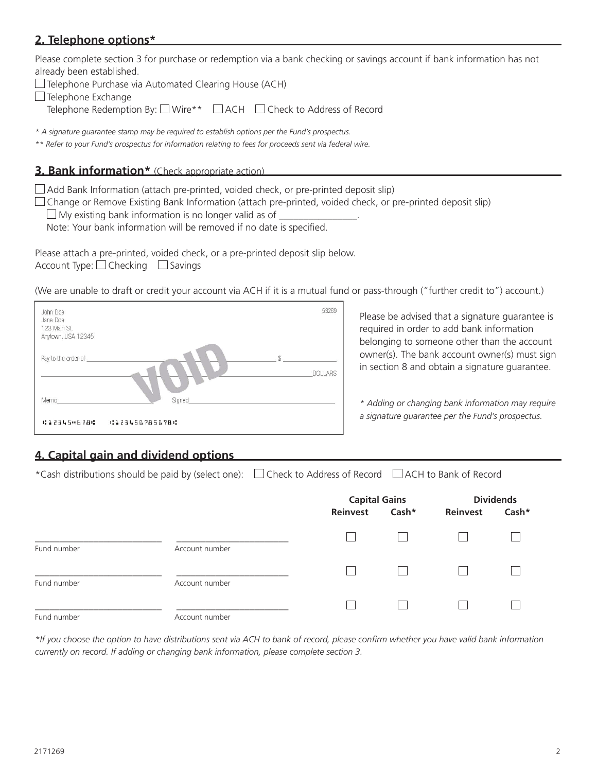### **2. Telephone options\***

Please complete section 3 for purchase or redemption via a bank checking or savings account if bank information has not already been established.

|  |  |  | $\Box$ Telephone Purchase via Automated Clearing House (ACH) |  |
|--|--|--|--------------------------------------------------------------|--|
|--|--|--|--------------------------------------------------------------|--|

 $\Box$  Telephone Exchange

Telephone Redemption By: □ Wire\*\* □ ACH □ Check to Address of Record

*\* A signature guarantee stamp may be required to establish options per the Fund's prospectus.*

*\*\* Refer to your Fund's prospectus for information relating to fees for proceeds sent via federal wire.*

#### **3. Bank information\*** (Check appropriate action)

 $\Box$  Add Bank Information (attach pre-printed, voided check, or pre-printed deposit slip)

 $\Box$  Change or Remove Existing Bank Information (attach pre-printed, voided check, or pre-printed deposit slip)

 $\Box$  My existing bank information is no longer valid as of  $\Box$ 

Note: Your bank information will be removed if no date is specified.

Please attach a pre-printed, voided check, or a pre-printed deposit slip below. Account Type:  $\Box$  Checking  $\Box$  Savings

(We are unable to draft or credit your account via ACH if it is a mutual fund or pass-through ("further credit to") account.)



Please be advised that a signature guarantee is required in order to add bank information belonging to someone other than the account owner(s). The bank account owner(s) must sign in section 8 and obtain a signature guarantee.

*\* Adding or changing bank information may require a signature guarantee per the Fund's prospectus.*

# **4. Capital gain and dividend options**

\*Cash distributions should be paid by (select one):  $\Box$  Check to Address of Record  $\Box$  ACH to Bank of Record

|             |                |          | <b>Capital Gains</b> |          | <b>Dividends</b> |  |
|-------------|----------------|----------|----------------------|----------|------------------|--|
|             |                | Reinvest | Cash*                | Reinvest | Cash*            |  |
| Fund number | Account number |          |                      |          |                  |  |
| Fund number | Account number |          | $\mathbf{I}$         |          |                  |  |
| Fund number | Account number |          |                      |          |                  |  |

*\*If you choose the option to have distributions sent via ACH to bank of record, please confirm whether you have valid bank information currently on record. If adding or changing bank information, please complete section 3.*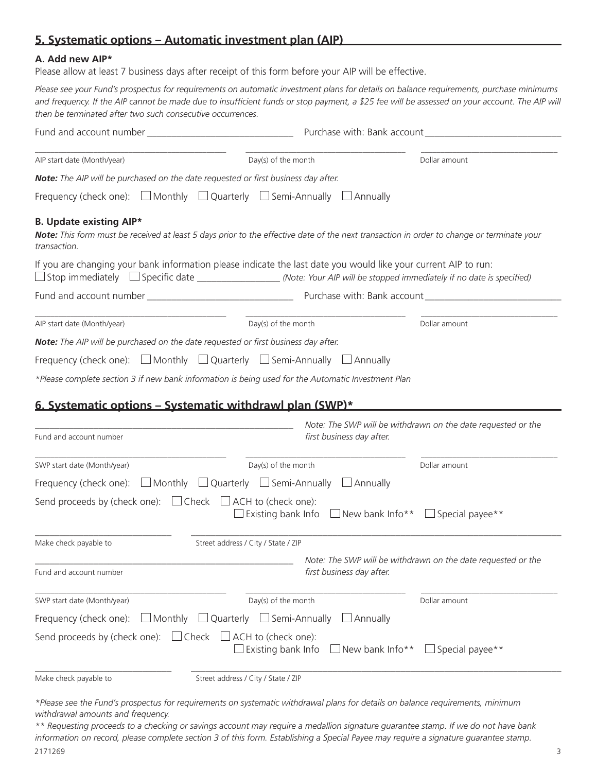# **5. Systematic options – Automatic investment plan (AIP)**

#### **A. Add new AIP\***

Please allow at least 7 business days after receipt of this form before your AIP will be effective.

*Please see your Fund's prospectus for requirements on automatic investment plans for details on balance requirements, purchase minimums*  and frequency. If the AIP cannot be made due to insufficient funds or stop payment, a \$25 fee will be assessed on your account. The AIP will *then be terminated after two such consecutive occurrences.*

| AIP start date (Month/year)                                                                                                                                                                                                                  | Day(s) of the month   | Dollar amount |  |
|----------------------------------------------------------------------------------------------------------------------------------------------------------------------------------------------------------------------------------------------|-----------------------|---------------|--|
| Note: The AIP will be purchased on the date requested or first business day after.                                                                                                                                                           |                       |               |  |
| Frequency (check one): $\Box$ Monthly $\Box$ Quarterly $\Box$ Semi-Annually $\Box$ Annually                                                                                                                                                  |                       |               |  |
| <b>B. Update existing AIP*</b><br>Note: This form must be received at least 5 days prior to the effective date of the next transaction in order to change or terminate your<br>transaction.                                                  |                       |               |  |
| If you are changing your bank information please indicate the last date you would like your current AIP to run:<br>□ Stop immediately □ Specific date __________________(Note: Your AIP will be stopped immediately if no date is specified) |                       |               |  |
|                                                                                                                                                                                                                                              |                       |               |  |
| AIP start date (Month/year)                                                                                                                                                                                                                  | $Day(s)$ of the month | Dollar amount |  |
| Note: The AIP will be purchased on the date requested or first business day after.                                                                                                                                                           |                       |               |  |
| Frequency (check one): $\Box$ Monthly $\Box$ Quarterly $\Box$ Semi-Annually $\Box$ Annually                                                                                                                                                  |                       |               |  |
| *Please complete section 3 if new bank information is being used for the Automatic Investment Plan                                                                                                                                           |                       |               |  |
| 6 Systematic ontions - Systematic withdrawl plan (SWD)*                                                                                                                                                                                      |                       |               |  |

#### **6. Systematic options – Systematic withdrawl plan (SWP)\***

|                                                   |                                                                                                                | Note: The SWP will be withdrawn on the date requested or the |
|---------------------------------------------------|----------------------------------------------------------------------------------------------------------------|--------------------------------------------------------------|
| Fund and account number                           | first business day after.                                                                                      |                                                              |
| SWP start date (Month/year)                       | Day(s) of the month                                                                                            | Dollar amount                                                |
| Frequency (check one): $\Box$ Monthly             | $\Box$ Quarterly $\Box$ Semi-Annually<br>Annually                                                              |                                                              |
| Send proceeds by (check one): $\Box$ Check $\Box$ | $\Box$ ACH to (check one):<br>$\Box$ New bank Info**<br>Existing bank Info                                     | Special payee**                                              |
| Make check payable to                             | Street address / City / State / ZIP                                                                            |                                                              |
|                                                   |                                                                                                                | Note: The SWP will be withdrawn on the date requested or the |
| Fund and account number                           | first business day after.                                                                                      |                                                              |
| SWP start date (Month/year)                       | Day(s) of the month                                                                                            | Dollar amount                                                |
| Frequency (check one):                            | $\Box$ Monthly<br>$\Box$ Quarterly $\Box$ Semi-Annually<br>$\Box$ Annually                                     |                                                              |
|                                                   | Send proceeds by (check one): $\Box$ Check $\Box$ ACH to (check one):<br>Existing bank Info<br>New bank Info** | Special payee**                                              |
| Make check payable to                             | Street address / City / State / ZIP                                                                            |                                                              |

*<sup>\*</sup>Please see the Fund's prospectus for requirements on systematic withdrawal plans for details on balance requirements, minimum withdrawal amounts and frequency.*

<sup>2171269</sup> 3 *\*\* Requesting proceeds to a checking or savings account may require a medallion signature guarantee stamp. If we do not have bank information on record, please complete section 3 of this form. Establishing a Special Payee may require a signature guarantee stamp.*